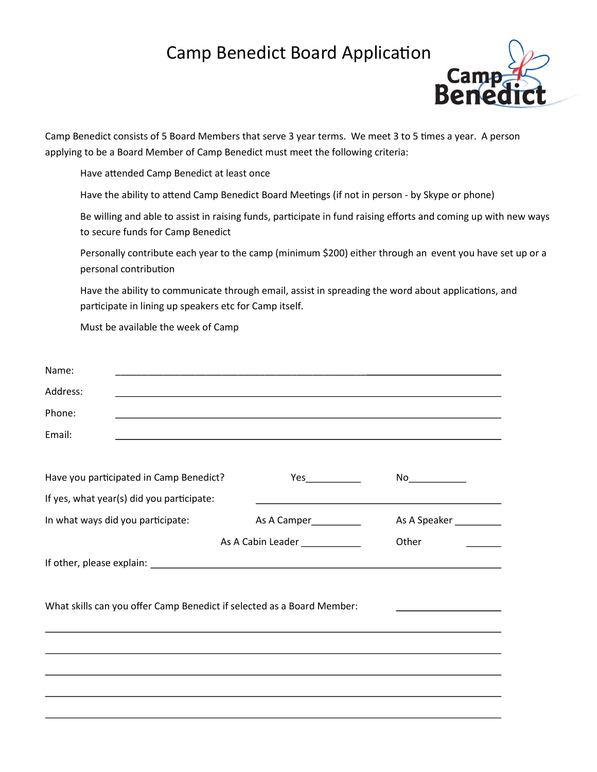## Camp Benedict Board Application



Camp Benedict consists of 5 Board Members that serve 3 year terms. We meet 3 to 5 times a year. A person applying to be a Board Member of Camp Benedict must meet the following criteria:

Have attended Camp Benedict at least once

Have the ability to attend Camp Benedict Board Meetings (if not in person - by Skype or phone)

Be willing and able to assist in raising funds, participate in fund raising efforts and coming up with new ways to secure funds for Camp Benedict

Personally contribute each year to the camp (minimum \$200) either through an event you have set up or a personal contribution

Have the ability to communicate through email, assist in spreading the word about applications, and participate in lining up speakers etc for Camp itself.

Must be available the week of Camp

| Name:                                                                  |                                                                                  |              |
|------------------------------------------------------------------------|----------------------------------------------------------------------------------|--------------|
| Address:                                                               |                                                                                  |              |
| Phone:                                                                 |                                                                                  |              |
| Email:                                                                 |                                                                                  |              |
|                                                                        |                                                                                  |              |
| Have you participated in Camp Benedict?                                | Yes                                                                              | No           |
| If yes, what year(s) did you participate:                              |                                                                                  |              |
| In what ways did you participate:                                      | As A Camper___________                                                           | As A Speaker |
|                                                                        | As A Cabin Leader ____________                                                   |              |
|                                                                        |                                                                                  |              |
|                                                                        |                                                                                  |              |
| What skills can you offer Camp Benedict if selected as a Board Member: |                                                                                  |              |
|                                                                        | ,我们也不会有什么。""我们的人,我们也不会有什么?""我们的人,我们也不会有什么?""我们的人,我们也不会有什么?""我们的人,我们也不会有什么?""我们的人 |              |
|                                                                        |                                                                                  |              |
|                                                                        |                                                                                  |              |
|                                                                        |                                                                                  |              |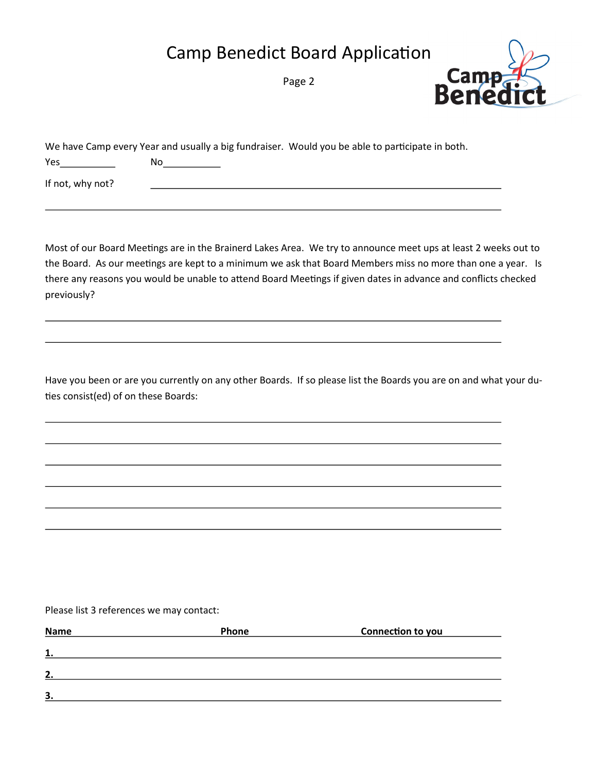## Camp Benedict Board Application

Page 2



|                  | We have Camp every Year and usually a big fundraiser. Would you be able to participate in both. |
|------------------|-------------------------------------------------------------------------------------------------|
| Yes              | Nο                                                                                              |
| If not, why not? |                                                                                                 |

Most of our Board Meetings are in the Brainerd Lakes Area. We try to announce meet ups at least 2 weeks out to the Board. As our meetings are kept to a minimum we ask that Board Members miss no more than one a year. Is there any reasons you would be unable to attend Board Meetings if given dates in advance and conflicts checked previously?

Have you been or are you currently on any other Boards. If so please list the Boards you are on and what your duties consist(ed) of on these Boards:

## Please list 3 references we may contact:

| <b>Name</b> | Phone | Connection to you |  |
|-------------|-------|-------------------|--|
| 1.          |       |                   |  |
| 2.          |       |                   |  |
| 3           |       |                   |  |